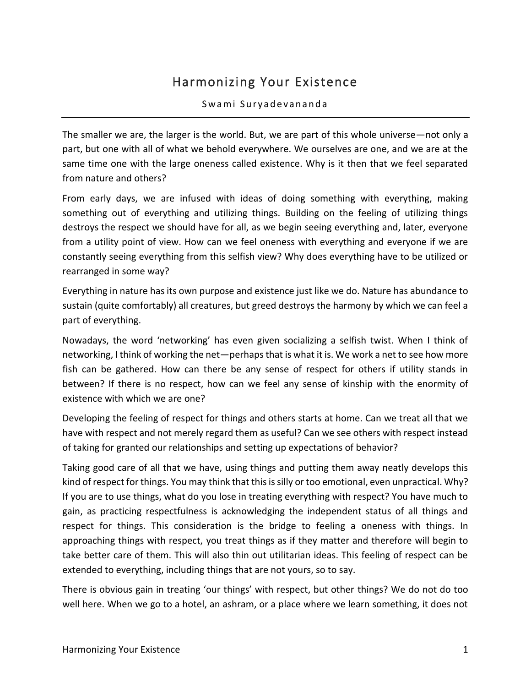## Harmonizing Your Existence

## Swami Suryadevananda

The smaller we are, the larger is the world. But, we are part of this whole universe—not only a part, but one with all of what we behold everywhere. We ourselves are one, and we are at the same time one with the large oneness called existence. Why is it then that we feel separated from nature and others?

From early days, we are infused with ideas of doing something with everything, making something out of everything and utilizing things. Building on the feeling of utilizing things destroys the respect we should have for all, as we begin seeing everything and, later, everyone from a utility point of view. How can we feel oneness with everything and everyone if we are constantly seeing everything from this selfish view? Why does everything have to be utilized or rearranged in some way?

Everything in nature has its own purpose and existence just like we do. Nature has abundance to sustain (quite comfortably) all creatures, but greed destroys the harmony by which we can feel a part of everything.

Nowadays, the word 'networking' has even given socializing a selfish twist. When I think of networking, I think of working the net—perhaps that is what it is. We work a net to see how more fish can be gathered. How can there be any sense of respect for others if utility stands in between? If there is no respect, how can we feel any sense of kinship with the enormity of existence with which we are one?

Developing the feeling of respect for things and others starts at home. Can we treat all that we have with respect and not merely regard them as useful? Can we see others with respect instead of taking for granted our relationships and setting up expectations of behavior?

Taking good care of all that we have, using things and putting them away neatly develops this kind of respect for things. You may think that this is silly or too emotional, even unpractical. Why? If you are to use things, what do you lose in treating everything with respect? You have much to gain, as practicing respectfulness is acknowledging the independent status of all things and respect for things. This consideration is the bridge to feeling a oneness with things. In approaching things with respect, you treat things as if they matter and therefore will begin to take better care of them. This will also thin out utilitarian ideas. This feeling of respect can be extended to everything, including things that are not yours, so to say.

There is obvious gain in treating 'our things' with respect, but other things? We do not do too well here. When we go to a hotel, an ashram, or a place where we learn something, it does not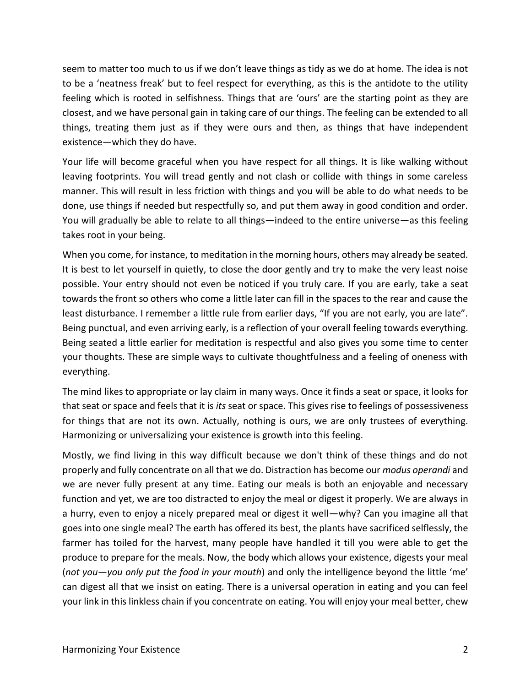seem to matter too much to us if we don't leave things as tidy as we do at home. The idea is not to be a 'neatness freak' but to feel respect for everything, as this is the antidote to the utility feeling which is rooted in selfishness. Things that are 'ours' are the starting point as they are closest, and we have personal gain in taking care of our things. The feeling can be extended to all things, treating them just as if they were ours and then, as things that have independent existence—which they do have.

Your life will become graceful when you have respect for all things. It is like walking without leaving footprints. You will tread gently and not clash or collide with things in some careless manner. This will result in less friction with things and you will be able to do what needs to be done, use things if needed but respectfully so, and put them away in good condition and order. You will gradually be able to relate to all things—indeed to the entire universe—as this feeling takes root in your being.

When you come, for instance, to meditation in the morning hours, others may already be seated. It is best to let yourself in quietly, to close the door gently and try to make the very least noise possible. Your entry should not even be noticed if you truly care. If you are early, take a seat towards the front so others who come a little later can fill in the spaces to the rear and cause the least disturbance. I remember a little rule from earlier days, "If you are not early, you are late". Being punctual, and even arriving early, is a reflection of your overall feeling towards everything. Being seated a little earlier for meditation is respectful and also gives you some time to center your thoughts. These are simple ways to cultivate thoughtfulness and a feeling of oneness with everything.

The mind likes to appropriate or lay claim in many ways. Once it finds a seat or space, it looks for that seat or space and feels that it is *its* seat or space. This gives rise to feelings of possessiveness for things that are not its own. Actually, nothing is ours, we are only trustees of everything. Harmonizing or universalizing your existence is growth into this feeling.

Mostly, we find living in this way difficult because we don't think of these things and do not properly and fully concentrate on all that we do. Distraction has become our *modus operandi* and we are never fully present at any time. Eating our meals is both an enjoyable and necessary function and yet, we are too distracted to enjoy the meal or digest it properly. We are always in a hurry, even to enjoy a nicely prepared meal or digest it well—why? Can you imagine all that goes into one single meal? The earth has offered its best, the plants have sacrificed selflessly, the farmer has toiled for the harvest, many people have handled it till you were able to get the produce to prepare for the meals. Now, the body which allows your existence, digests your meal (*not you—you only put the food in your mouth*) and only the intelligence beyond the little 'me' can digest all that we insist on eating. There is a universal operation in eating and you can feel your link in this linkless chain if you concentrate on eating. You will enjoy your meal better, chew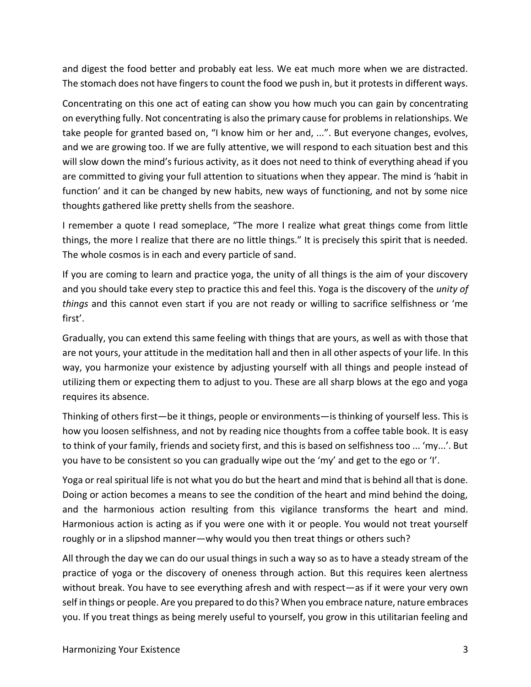and digest the food better and probably eat less. We eat much more when we are distracted. The stomach does not have fingers to count the food we push in, but it protests in different ways.

Concentrating on this one act of eating can show you how much you can gain by concentrating on everything fully. Not concentrating is also the primary cause for problems in relationships. We take people for granted based on, "I know him or her and, ...". But everyone changes, evolves, and we are growing too. If we are fully attentive, we will respond to each situation best and this will slow down the mind's furious activity, as it does not need to think of everything ahead if you are committed to giving your full attention to situations when they appear. The mind is 'habit in function' and it can be changed by new habits, new ways of functioning, and not by some nice thoughts gathered like pretty shells from the seashore.

I remember a quote I read someplace, "The more I realize what great things come from little things, the more I realize that there are no little things." It is precisely this spirit that is needed. The whole cosmos is in each and every particle of sand.

If you are coming to learn and practice yoga, the unity of all things is the aim of your discovery and you should take every step to practice this and feel this. Yoga is the discovery of the *unity of things* and this cannot even start if you are not ready or willing to sacrifice selfishness or 'me first'.

Gradually, you can extend this same feeling with things that are yours, as well as with those that are not yours, your attitude in the meditation hall and then in all other aspects of your life. In this way, you harmonize your existence by adjusting yourself with all things and people instead of utilizing them or expecting them to adjust to you. These are all sharp blows at the ego and yoga requires its absence.

Thinking of others first—be it things, people or environments—is thinking of yourself less. This is how you loosen selfishness, and not by reading nice thoughts from a coffee table book. It is easy to think of your family, friends and society first, and this is based on selfishness too ... 'my...'. But you have to be consistent so you can gradually wipe out the 'my' and get to the ego or 'I'.

Yoga or real spiritual life is not what you do but the heart and mind that is behind all that is done. Doing or action becomes a means to see the condition of the heart and mind behind the doing, and the harmonious action resulting from this vigilance transforms the heart and mind. Harmonious action is acting as if you were one with it or people. You would not treat yourself roughly or in a slipshod manner—why would you then treat things or others such?

All through the day we can do our usual things in such a way so as to have a steady stream of the practice of yoga or the discovery of oneness through action. But this requires keen alertness without break. You have to see everything afresh and with respect—as if it were your very own self in things or people. Are you prepared to do this? When you embrace nature, nature embraces you. If you treat things as being merely useful to yourself, you grow in this utilitarian feeling and